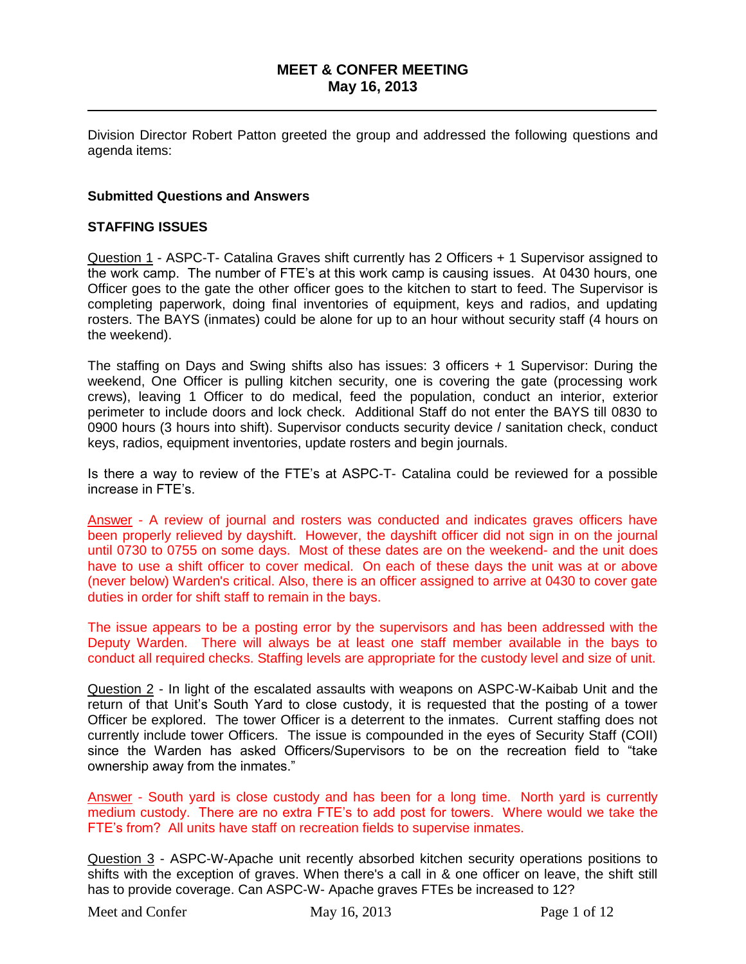## **MEET & CONFER MEETING May 16, 2013**

\_\_\_\_\_\_\_\_\_\_\_\_\_\_\_\_\_\_\_\_\_\_\_\_\_\_\_\_\_\_\_\_\_\_\_\_\_\_\_\_\_\_\_\_\_\_\_\_\_\_\_\_\_\_\_\_\_\_\_\_\_\_\_\_\_\_\_\_\_\_

Division Director Robert Patton greeted the group and addressed the following questions and agenda items:

### **Submitted Questions and Answers**

#### **STAFFING ISSUES**

Question 1 - ASPC-T- Catalina Graves shift currently has 2 Officers + 1 Supervisor assigned to the work camp. The number of FTE"s at this work camp is causing issues. At 0430 hours, one Officer goes to the gate the other officer goes to the kitchen to start to feed. The Supervisor is completing paperwork, doing final inventories of equipment, keys and radios, and updating rosters. The BAYS (inmates) could be alone for up to an hour without security staff (4 hours on the weekend).

The staffing on Days and Swing shifts also has issues: 3 officers + 1 Supervisor: During the weekend, One Officer is pulling kitchen security, one is covering the gate (processing work crews), leaving 1 Officer to do medical, feed the population, conduct an interior, exterior perimeter to include doors and lock check. Additional Staff do not enter the BAYS till 0830 to 0900 hours (3 hours into shift). Supervisor conducts security device / sanitation check, conduct keys, radios, equipment inventories, update rosters and begin journals.

Is there a way to review of the FTE"s at ASPC-T- Catalina could be reviewed for a possible increase in FTE"s.

Answer - A review of journal and rosters was conducted and indicates graves officers have been properly relieved by dayshift. However, the dayshift officer did not sign in on the journal until 0730 to 0755 on some days. Most of these dates are on the weekend- and the unit does have to use a shift officer to cover medical. On each of these days the unit was at or above (never below) Warden's critical. Also, there is an officer assigned to arrive at 0430 to cover gate duties in order for shift staff to remain in the bays.

The issue appears to be a posting error by the supervisors and has been addressed with the Deputy Warden. There will always be at least one staff member available in the bays to conduct all required checks. Staffing levels are appropriate for the custody level and size of unit.

Question 2 - In light of the escalated assaults with weapons on ASPC-W-Kaibab Unit and the return of that Unit"s South Yard to close custody, it is requested that the posting of a tower Officer be explored. The tower Officer is a deterrent to the inmates. Current staffing does not currently include tower Officers. The issue is compounded in the eyes of Security Staff (COII) since the Warden has asked Officers/Supervisors to be on the recreation field to "take ownership away from the inmates."

Answer - South yard is close custody and has been for a long time. North yard is currently medium custody. There are no extra FTE"s to add post for towers. Where would we take the FTE"s from? All units have staff on recreation fields to supervise inmates.

Question 3 - ASPC-W-Apache unit recently absorbed kitchen security operations positions to shifts with the exception of graves. When there's a call in & one officer on leave, the shift still has to provide coverage. Can ASPC-W- Apache graves FTEs be increased to 12?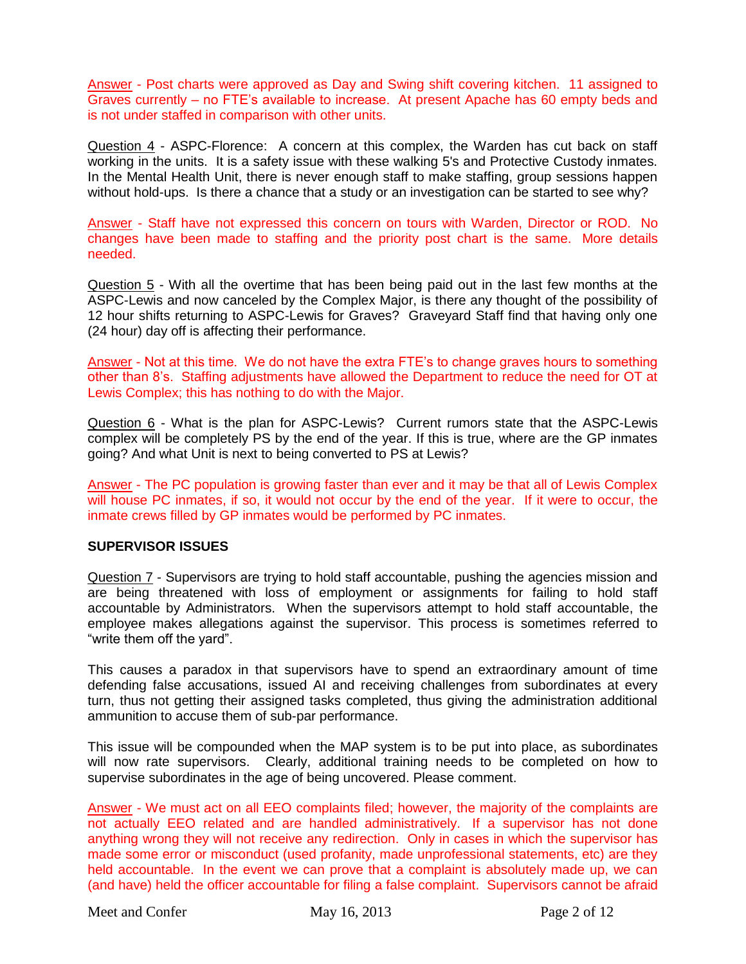Answer - Post charts were approved as Day and Swing shift covering kitchen. 11 assigned to Graves currently – no FTE"s available to increase. At present Apache has 60 empty beds and is not under staffed in comparison with other units.

Question 4 - ASPC-Florence: A concern at this complex, the Warden has cut back on staff working in the units. It is a safety issue with these walking 5's and Protective Custody inmates. In the Mental Health Unit, there is never enough staff to make staffing, group sessions happen without hold-ups. Is there a chance that a study or an investigation can be started to see why?

Answer - Staff have not expressed this concern on tours with Warden, Director or ROD. No changes have been made to staffing and the priority post chart is the same. More details needed.

Question 5 - With all the overtime that has been being paid out in the last few months at the ASPC-Lewis and now canceled by the Complex Major, is there any thought of the possibility of 12 hour shifts returning to ASPC-Lewis for Graves? Graveyard Staff find that having only one (24 hour) day off is affecting their performance.

Answer - Not at this time. We do not have the extra FTE"s to change graves hours to something other than 8"s. Staffing adjustments have allowed the Department to reduce the need for OT at Lewis Complex; this has nothing to do with the Major.

Question 6 - What is the plan for ASPC-Lewis? Current rumors state that the ASPC-Lewis complex will be completely PS by the end of the year. If this is true, where are the GP inmates going? And what Unit is next to being converted to PS at Lewis?

Answer - The PC population is growing faster than ever and it may be that all of Lewis Complex will house PC inmates, if so, it would not occur by the end of the year. If it were to occur, the inmate crews filled by GP inmates would be performed by PC inmates.

### **SUPERVISOR ISSUES**

Question 7 - Supervisors are trying to hold staff accountable, pushing the agencies mission and are being threatened with loss of employment or assignments for failing to hold staff accountable by Administrators. When the supervisors attempt to hold staff accountable, the employee makes allegations against the supervisor. This process is sometimes referred to "write them off the yard".

This causes a paradox in that supervisors have to spend an extraordinary amount of time defending false accusations, issued AI and receiving challenges from subordinates at every turn, thus not getting their assigned tasks completed, thus giving the administration additional ammunition to accuse them of sub-par performance.

This issue will be compounded when the MAP system is to be put into place, as subordinates will now rate supervisors. Clearly, additional training needs to be completed on how to supervise subordinates in the age of being uncovered. Please comment.

Answer - We must act on all EEO complaints filed; however, the majority of the complaints are not actually EEO related and are handled administratively. If a supervisor has not done anything wrong they will not receive any redirection. Only in cases in which the supervisor has made some error or misconduct (used profanity, made unprofessional statements, etc) are they held accountable. In the event we can prove that a complaint is absolutely made up, we can (and have) held the officer accountable for filing a false complaint. Supervisors cannot be afraid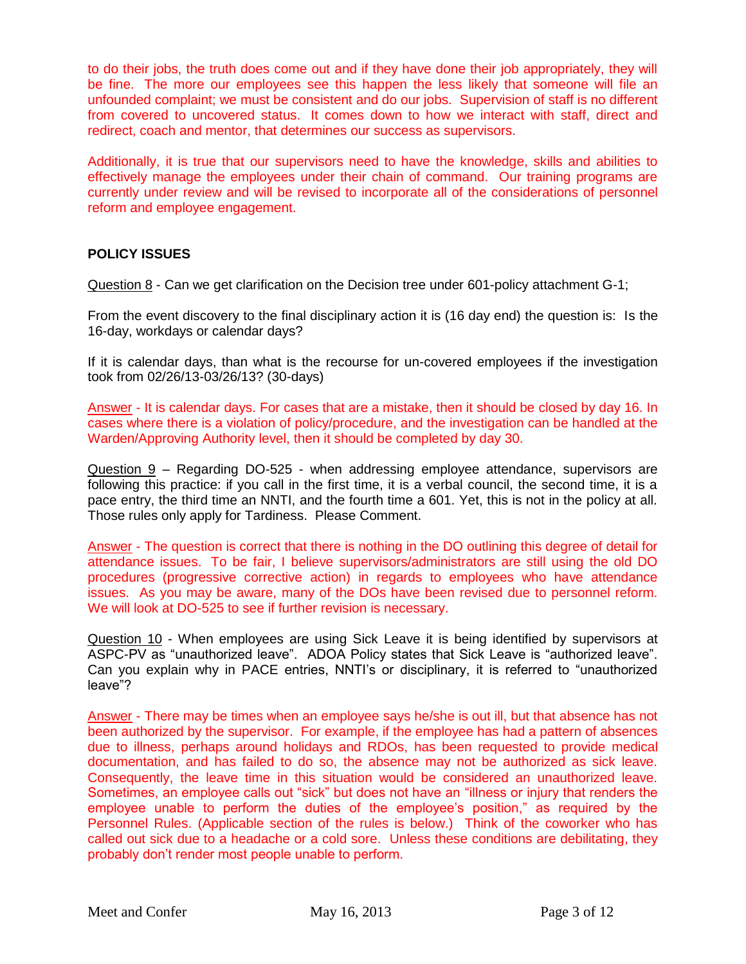to do their jobs, the truth does come out and if they have done their job appropriately, they will be fine. The more our employees see this happen the less likely that someone will file an unfounded complaint; we must be consistent and do our jobs. Supervision of staff is no different from covered to uncovered status. It comes down to how we interact with staff, direct and redirect, coach and mentor, that determines our success as supervisors.

Additionally, it is true that our supervisors need to have the knowledge, skills and abilities to effectively manage the employees under their chain of command. Our training programs are currently under review and will be revised to incorporate all of the considerations of personnel reform and employee engagement.

# **POLICY ISSUES**

Question 8 - Can we get clarification on the Decision tree under 601-policy attachment G-1;

From the event discovery to the final disciplinary action it is (16 day end) the question is: Is the 16-day, workdays or calendar days?

If it is calendar days, than what is the recourse for un-covered employees if the investigation took from 02/26/13-03/26/13? (30-days)

Answer - It is calendar days. For cases that are a mistake, then it should be closed by day 16. In cases where there is a violation of policy/procedure, and the investigation can be handled at the Warden/Approving Authority level, then it should be completed by day 30.

Question 9 – Regarding DO-525 - when addressing employee attendance, supervisors are following this practice: if you call in the first time, it is a verbal council, the second time, it is a pace entry, the third time an NNTI, and the fourth time a 601. Yet, this is not in the policy at all. Those rules only apply for Tardiness. Please Comment.

Answer - The question is correct that there is nothing in the DO outlining this degree of detail for attendance issues. To be fair, I believe supervisors/administrators are still using the old DO procedures (progressive corrective action) in regards to employees who have attendance issues. As you may be aware, many of the DOs have been revised due to personnel reform. We will look at DO-525 to see if further revision is necessary.

Question 10 - When employees are using Sick Leave it is being identified by supervisors at ASPC-PV as "unauthorized leave". ADOA Policy states that Sick Leave is "authorized leave". Can you explain why in PACE entries, NNTI"s or disciplinary, it is referred to "unauthorized leave"?

Answer - There may be times when an employee says he/she is out ill, but that absence has not been authorized by the supervisor. For example, if the employee has had a pattern of absences due to illness, perhaps around holidays and RDOs, has been requested to provide medical documentation, and has failed to do so, the absence may not be authorized as sick leave. Consequently, the leave time in this situation would be considered an unauthorized leave. Sometimes, an employee calls out "sick" but does not have an "illness or injury that renders the employee unable to perform the duties of the employee's position," as required by the Personnel Rules. (Applicable section of the rules is below.) Think of the coworker who has called out sick due to a headache or a cold sore. Unless these conditions are debilitating, they probably don"t render most people unable to perform.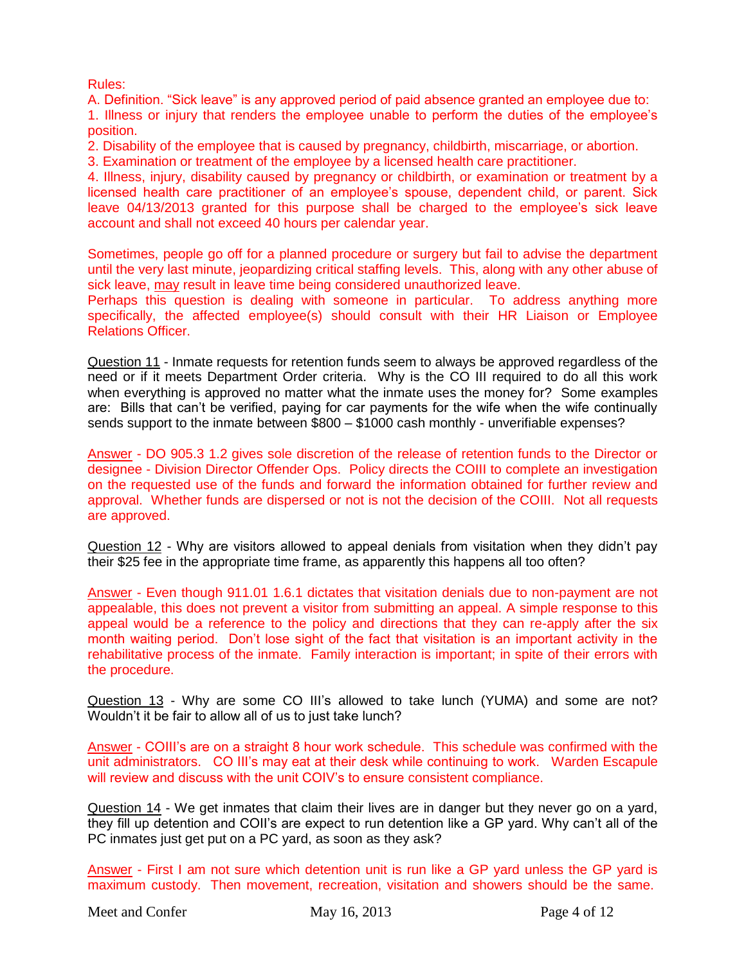Rules:

A. Definition. "Sick leave" is any approved period of paid absence granted an employee due to: 1. Illness or injury that renders the employee unable to perform the duties of the employee"s position.

2. Disability of the employee that is caused by pregnancy, childbirth, miscarriage, or abortion.

3. Examination or treatment of the employee by a licensed health care practitioner.

4. Illness, injury, disability caused by pregnancy or childbirth, or examination or treatment by a licensed health care practitioner of an employee's spouse, dependent child, or parent. Sick leave 04/13/2013 granted for this purpose shall be charged to the employee's sick leave account and shall not exceed 40 hours per calendar year.

Sometimes, people go off for a planned procedure or surgery but fail to advise the department until the very last minute, jeopardizing critical staffing levels. This, along with any other abuse of sick leave, may result in leave time being considered unauthorized leave.

Perhaps this question is dealing with someone in particular. To address anything more specifically, the affected employee(s) should consult with their HR Liaison or Employee Relations Officer.

Question 11 - Inmate requests for retention funds seem to always be approved regardless of the need or if it meets Department Order criteria. Why is the CO III required to do all this work when everything is approved no matter what the inmate uses the money for? Some examples are: Bills that can"t be verified, paying for car payments for the wife when the wife continually sends support to the inmate between \$800 – \$1000 cash monthly - unverifiable expenses?

Answer - DO 905.3 1.2 gives sole discretion of the release of retention funds to the Director or designee - Division Director Offender Ops. Policy directs the COIII to complete an investigation on the requested use of the funds and forward the information obtained for further review and approval. Whether funds are dispersed or not is not the decision of the COIII. Not all requests are approved.

Question 12 - Why are visitors allowed to appeal denials from visitation when they didn't pay their \$25 fee in the appropriate time frame, as apparently this happens all too often?

Answer - Even though 911.01 1.6.1 dictates that visitation denials due to non-payment are not appealable, this does not prevent a visitor from submitting an appeal. A simple response to this appeal would be a reference to the policy and directions that they can re-apply after the six month waiting period. Don"t lose sight of the fact that visitation is an important activity in the rehabilitative process of the inmate. Family interaction is important; in spite of their errors with the procedure.

Question 13 - Why are some CO III's allowed to take lunch (YUMA) and some are not? Wouldn"t it be fair to allow all of us to just take lunch?

Answer - COIII's are on a straight 8 hour work schedule. This schedule was confirmed with the unit administrators. CO III's may eat at their desk while continuing to work. Warden Escapule will review and discuss with the unit COIV"s to ensure consistent compliance.

Question 14 - We get inmates that claim their lives are in danger but they never go on a yard, they fill up detention and COII's are expect to run detention like a GP yard. Why can't all of the PC inmates just get put on a PC yard, as soon as they ask?

Answer - First I am not sure which detention unit is run like a GP yard unless the GP yard is maximum custody. Then movement, recreation, visitation and showers should be the same.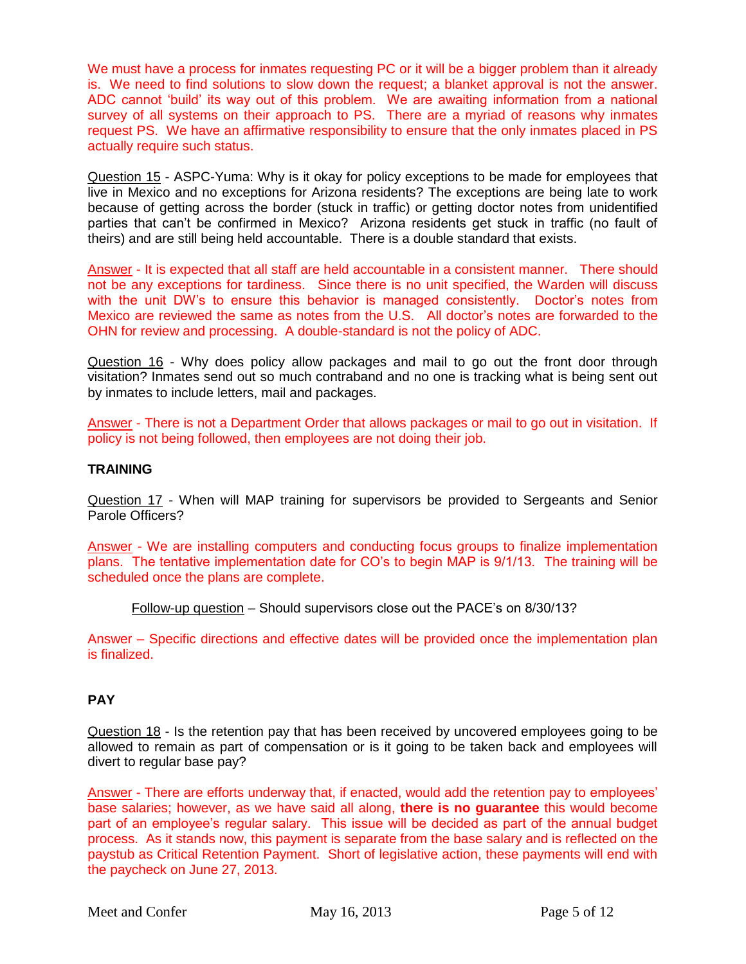We must have a process for inmates requesting PC or it will be a bigger problem than it already is. We need to find solutions to slow down the request; a blanket approval is not the answer. ADC cannot "build" its way out of this problem. We are awaiting information from a national survey of all systems on their approach to PS. There are a myriad of reasons why inmates request PS. We have an affirmative responsibility to ensure that the only inmates placed in PS actually require such status.

Question 15 - ASPC-Yuma: Why is it okay for policy exceptions to be made for employees that live in Mexico and no exceptions for Arizona residents? The exceptions are being late to work because of getting across the border (stuck in traffic) or getting doctor notes from unidentified parties that can't be confirmed in Mexico? Arizona residents get stuck in traffic (no fault of theirs) and are still being held accountable. There is a double standard that exists.

Answer - It is expected that all staff are held accountable in a consistent manner. There should not be any exceptions for tardiness. Since there is no unit specified, the Warden will discuss with the unit DW's to ensure this behavior is managed consistently. Doctor's notes from Mexico are reviewed the same as notes from the U.S. All doctor"s notes are forwarded to the OHN for review and processing. A double-standard is not the policy of ADC.

Question 16 - Why does policy allow packages and mail to go out the front door through visitation? Inmates send out so much contraband and no one is tracking what is being sent out by inmates to include letters, mail and packages.

Answer - There is not a Department Order that allows packages or mail to go out in visitation. If policy is not being followed, then employees are not doing their job.

## **TRAINING**

Question 17 - When will MAP training for supervisors be provided to Sergeants and Senior Parole Officers?

Answer - We are installing computers and conducting focus groups to finalize implementation plans. The tentative implementation date for CO"s to begin MAP is 9/1/13. The training will be scheduled once the plans are complete.

Follow-up question – Should supervisors close out the PACE"s on 8/30/13?

Answer – Specific directions and effective dates will be provided once the implementation plan is finalized.

# **PAY**

Question 18 - Is the retention pay that has been received by uncovered employees going to be allowed to remain as part of compensation or is it going to be taken back and employees will divert to regular base pay?

Answer - There are efforts underway that, if enacted, would add the retention pay to employees" base salaries; however, as we have said all along, **there is no guarantee** this would become part of an employee's regular salary. This issue will be decided as part of the annual budget process. As it stands now, this payment is separate from the base salary and is reflected on the paystub as Critical Retention Payment. Short of legislative action, these payments will end with the paycheck on June 27, 2013.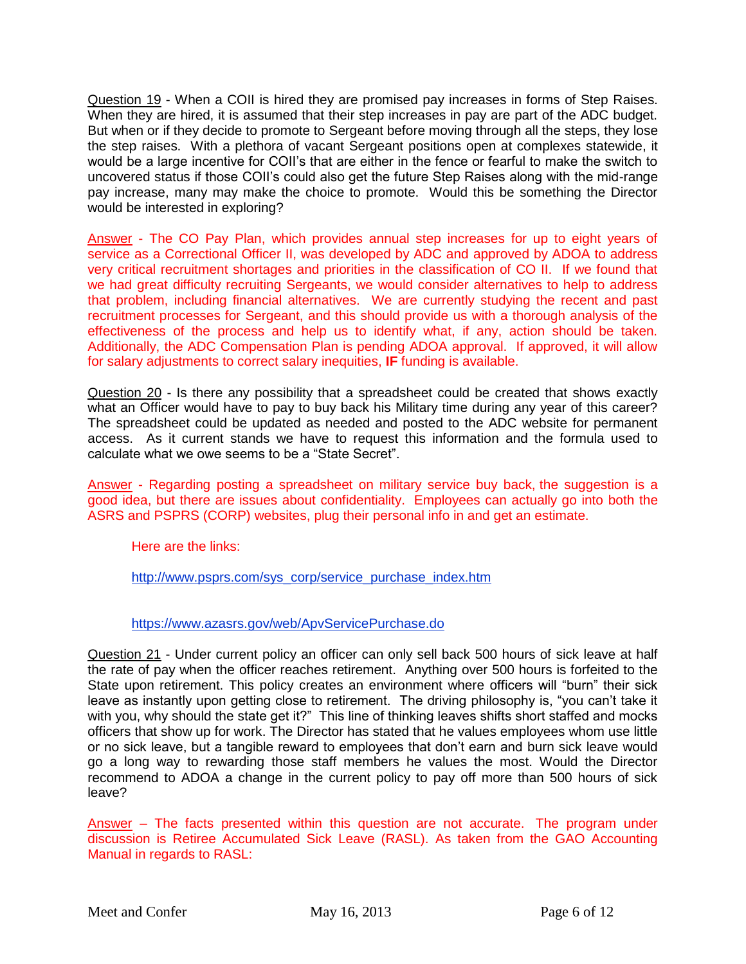Question 19 - When a COII is hired they are promised pay increases in forms of Step Raises. When they are hired, it is assumed that their step increases in pay are part of the ADC budget. But when or if they decide to promote to Sergeant before moving through all the steps, they lose the step raises. With a plethora of vacant Sergeant positions open at complexes statewide, it would be a large incentive for COII"s that are either in the fence or fearful to make the switch to uncovered status if those COII"s could also get the future Step Raises along with the mid-range pay increase, many may make the choice to promote. Would this be something the Director would be interested in exploring?

Answer - The CO Pay Plan, which provides annual step increases for up to eight years of service as a Correctional Officer II, was developed by ADC and approved by ADOA to address very critical recruitment shortages and priorities in the classification of CO II. If we found that we had great difficulty recruiting Sergeants, we would consider alternatives to help to address that problem, including financial alternatives. We are currently studying the recent and past recruitment processes for Sergeant, and this should provide us with a thorough analysis of the effectiveness of the process and help us to identify what, if any, action should be taken. Additionally, the ADC Compensation Plan is pending ADOA approval. If approved, it will allow for salary adjustments to correct salary inequities, **IF** funding is available.

Question 20 - Is there any possibility that a spreadsheet could be created that shows exactly what an Officer would have to pay to buy back his Military time during any year of this career? The spreadsheet could be updated as needed and posted to the ADC website for permanent access. As it current stands we have to request this information and the formula used to calculate what we owe seems to be a "State Secret".

Answer - Regarding posting a spreadsheet on military service buy back, the suggestion is a good idea, but there are issues about confidentiality. Employees can actually go into both the ASRS and PSPRS (CORP) websites, plug their personal info in and get an estimate.

Here are the links:

[http://www.psprs.com/sys\\_corp/service\\_purchase\\_index.htm](http://www.psprs.com/sys_corp/service_purchase_index.htm)

<https://www.azasrs.gov/web/ApvServicePurchase.do>

Question 21 - Under current policy an officer can only sell back 500 hours of sick leave at half the rate of pay when the officer reaches retirement. Anything over 500 hours is forfeited to the State upon retirement. This policy creates an environment where officers will "burn" their sick leave as instantly upon getting close to retirement. The driving philosophy is, "you can't take it with you, why should the state get it?" This line of thinking leaves shifts short staffed and mocks officers that show up for work. The Director has stated that he values employees whom use little or no sick leave, but a tangible reward to employees that don"t earn and burn sick leave would go a long way to rewarding those staff members he values the most. Would the Director recommend to ADOA a change in the current policy to pay off more than 500 hours of sick leave?

Answer – The facts presented within this question are not accurate. The program under discussion is Retiree Accumulated Sick Leave (RASL). As taken from the GAO Accounting Manual in regards to RASL: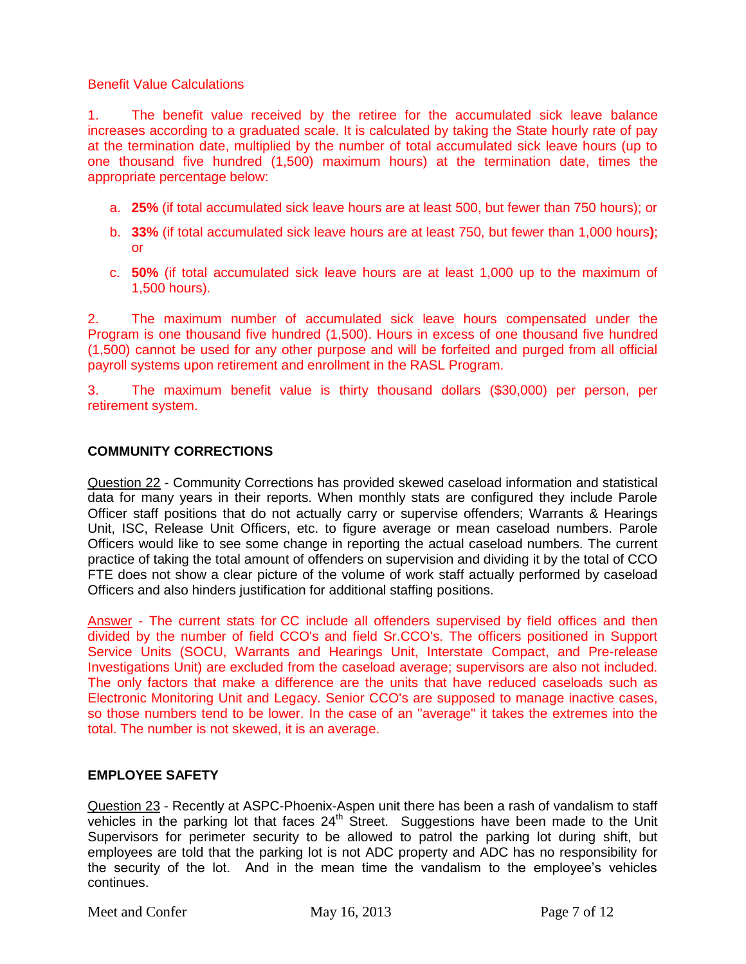### Benefit Value Calculations

1. The benefit value received by the retiree for the accumulated sick leave balance increases according to a graduated scale. It is calculated by taking the State hourly rate of pay at the termination date, multiplied by the number of total accumulated sick leave hours (up to one thousand five hundred (1,500) maximum hours) at the termination date, times the appropriate percentage below:

- a. **25%** (if total accumulated sick leave hours are at least 500, but fewer than 750 hours); or
- b. **33%** (if total accumulated sick leave hours are at least 750, but fewer than 1,000 hours**)**; or
- c. **50%** (if total accumulated sick leave hours are at least 1,000 up to the maximum of 1,500 hours).

2. The maximum number of accumulated sick leave hours compensated under the Program is one thousand five hundred (1,500). Hours in excess of one thousand five hundred (1,500) cannot be used for any other purpose and will be forfeited and purged from all official payroll systems upon retirement and enrollment in the RASL Program.

3. The maximum benefit value is thirty thousand dollars (\$30,000) per person, per retirement system.

## **COMMUNITY CORRECTIONS**

Question 22 - Community Corrections has provided skewed caseload information and statistical data for many years in their reports. When monthly stats are configured they include Parole Officer staff positions that do not actually carry or supervise offenders; Warrants & Hearings Unit, ISC, Release Unit Officers, etc. to figure average or mean caseload numbers. Parole Officers would like to see some change in reporting the actual caseload numbers. The current practice of taking the total amount of offenders on supervision and dividing it by the total of CCO FTE does not show a clear picture of the volume of work staff actually performed by caseload Officers and also hinders justification for additional staffing positions.

Answer - The current stats for CC include all offenders supervised by field offices and then divided by the number of field CCO's and field Sr.CCO's. The officers positioned in Support Service Units (SOCU, Warrants and Hearings Unit, Interstate Compact, and Pre-release Investigations Unit) are excluded from the caseload average; supervisors are also not included. The only factors that make a difference are the units that have reduced caseloads such as Electronic Monitoring Unit and Legacy. Senior CCO's are supposed to manage inactive cases, so those numbers tend to be lower. In the case of an "average" it takes the extremes into the total. The number is not skewed, it is an average.

### **EMPLOYEE SAFETY**

Question 23 - Recently at ASPC-Phoenix-Aspen unit there has been a rash of vandalism to staff vehicles in the parking lot that faces  $24<sup>th</sup>$  Street. Suggestions have been made to the Unit Supervisors for perimeter security to be allowed to patrol the parking lot during shift, but employees are told that the parking lot is not ADC property and ADC has no responsibility for the security of the lot. And in the mean time the vandalism to the employee"s vehicles continues.

Meet and Confer May 16, 2013 Page 7 of 12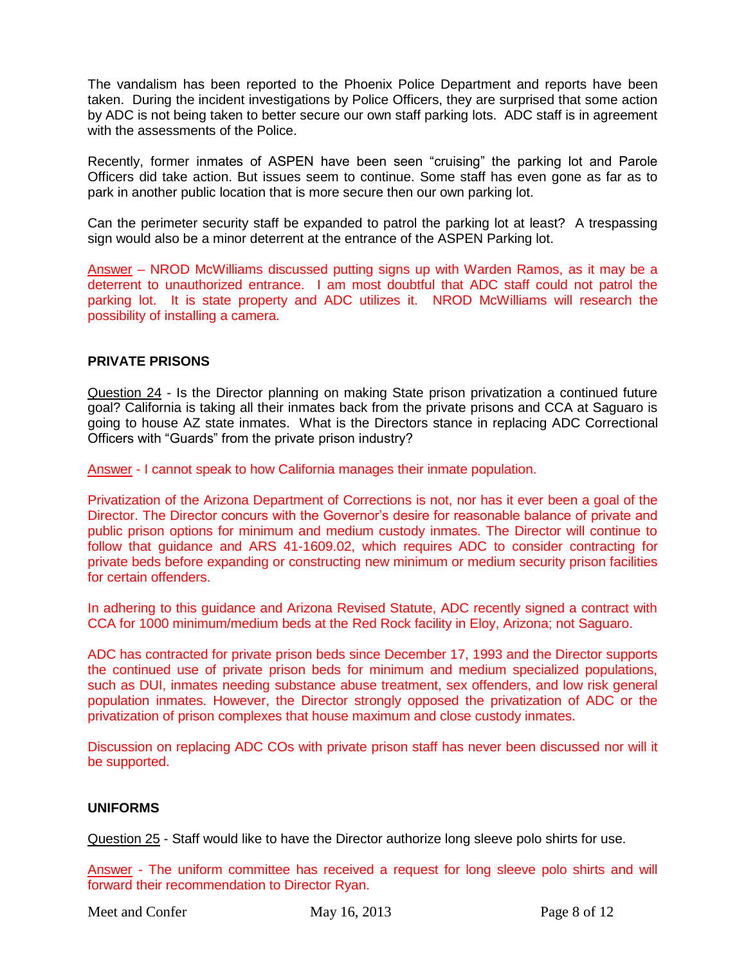The vandalism has been reported to the Phoenix Police Department and reports have been taken. During the incident investigations by Police Officers, they are surprised that some action by ADC is not being taken to better secure our own staff parking lots. ADC staff is in agreement with the assessments of the Police.

Recently, former inmates of ASPEN have been seen "cruising" the parking lot and Parole Officers did take action. But issues seem to continue. Some staff has even gone as far as to park in another public location that is more secure then our own parking lot.

Can the perimeter security staff be expanded to patrol the parking lot at least? A trespassing sign would also be a minor deterrent at the entrance of the ASPEN Parking lot.

Answer – NROD McWilliams discussed putting signs up with Warden Ramos, as it may be a deterrent to unauthorized entrance. I am most doubtful that ADC staff could not patrol the parking lot. It is state property and ADC utilizes it. NROD McWilliams will research the possibility of installing a camera.

# **PRIVATE PRISONS**

Question 24 - Is the Director planning on making State prison privatization a continued future goal? California is taking all their inmates back from the private prisons and CCA at Saguaro is going to house AZ state inmates. What is the Directors stance in replacing ADC Correctional Officers with "Guards" from the private prison industry?

Answer - I cannot speak to how California manages their inmate population.

Privatization of the Arizona Department of Corrections is not, nor has it ever been a goal of the Director. The Director concurs with the Governor's desire for reasonable balance of private and public prison options for minimum and medium custody inmates. The Director will continue to follow that guidance and ARS 41-1609.02, which requires ADC to consider contracting for private beds before expanding or constructing new minimum or medium security prison facilities for certain offenders.

In adhering to this guidance and Arizona Revised Statute, ADC recently signed a contract with CCA for 1000 minimum/medium beds at the Red Rock facility in Eloy, Arizona; not Saguaro.

ADC has contracted for private prison beds since December 17, 1993 and the Director supports the continued use of private prison beds for minimum and medium specialized populations, such as DUI, inmates needing substance abuse treatment, sex offenders, and low risk general population inmates. However, the Director strongly opposed the privatization of ADC or the privatization of prison complexes that house maximum and close custody inmates.

Discussion on replacing ADC COs with private prison staff has never been discussed nor will it be supported.

### **UNIFORMS**

Question 25 - Staff would like to have the Director authorize long sleeve polo shirts for use.

Answer - The uniform committee has received a request for long sleeve polo shirts and will forward their recommendation to Director Ryan.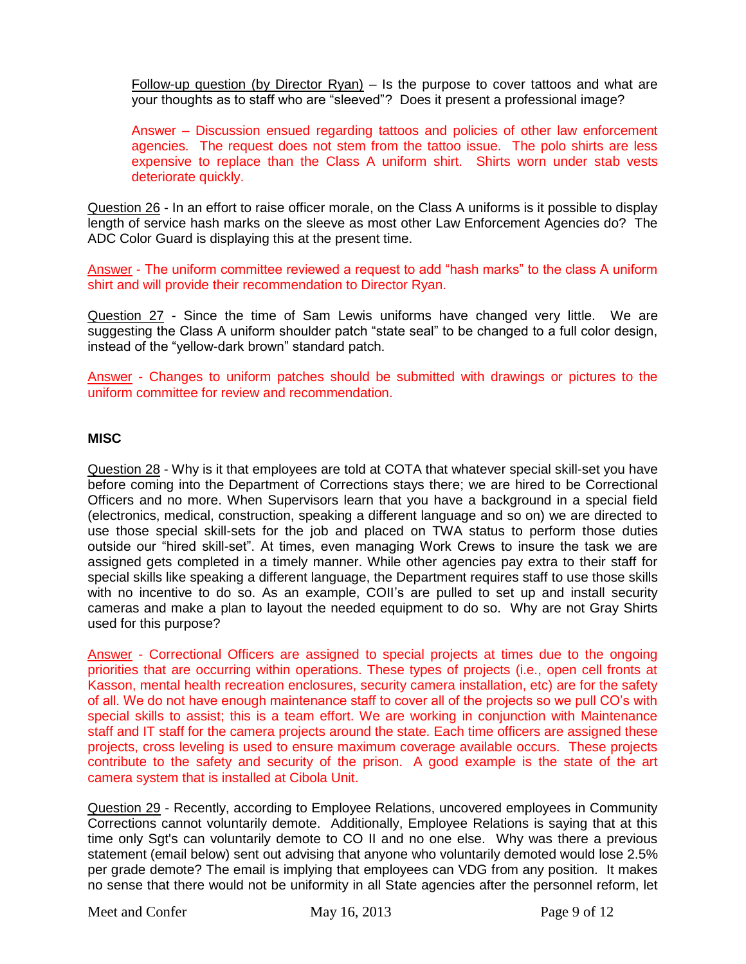Follow-up question (by Director Ryan)  $-$  Is the purpose to cover tattoos and what are your thoughts as to staff who are "sleeved"? Does it present a professional image?

Answer – Discussion ensued regarding tattoos and policies of other law enforcement agencies. The request does not stem from the tattoo issue. The polo shirts are less expensive to replace than the Class A uniform shirt. Shirts worn under stab vests deteriorate quickly.

Question 26 - In an effort to raise officer morale, on the Class A uniforms is it possible to display length of service hash marks on the sleeve as most other Law Enforcement Agencies do? The ADC Color Guard is displaying this at the present time.

Answer - The uniform committee reviewed a request to add "hash marks" to the class A uniform shirt and will provide their recommendation to Director Ryan.

Question 27 - Since the time of Sam Lewis uniforms have changed very little. We are suggesting the Class A uniform shoulder patch "state seal" to be changed to a full color design, instead of the "yellow-dark brown" standard patch.

Answer - Changes to uniform patches should be submitted with drawings or pictures to the uniform committee for review and recommendation.

## **MISC**

Question 28 - Why is it that employees are told at COTA that whatever special skill-set you have before coming into the Department of Corrections stays there; we are hired to be Correctional Officers and no more. When Supervisors learn that you have a background in a special field (electronics, medical, construction, speaking a different language and so on) we are directed to use those special skill-sets for the job and placed on TWA status to perform those duties outside our "hired skill-set". At times, even managing Work Crews to insure the task we are assigned gets completed in a timely manner. While other agencies pay extra to their staff for special skills like speaking a different language, the Department requires staff to use those skills with no incentive to do so. As an example, COII's are pulled to set up and install security cameras and make a plan to layout the needed equipment to do so. Why are not Gray Shirts used for this purpose?

Answer - Correctional Officers are assigned to special projects at times due to the ongoing priorities that are occurring within operations. These types of projects (i.e., open cell fronts at Kasson, mental health recreation enclosures, security camera installation, etc) are for the safety of all. We do not have enough maintenance staff to cover all of the projects so we pull CO"s with special skills to assist; this is a team effort. We are working in conjunction with Maintenance staff and IT staff for the camera projects around the state. Each time officers are assigned these projects, cross leveling is used to ensure maximum coverage available occurs. These projects contribute to the safety and security of the prison. A good example is the state of the art camera system that is installed at Cibola Unit.

Question 29 - Recently, according to Employee Relations, uncovered employees in Community Corrections cannot voluntarily demote. Additionally, Employee Relations is saying that at this time only Sgt's can voluntarily demote to CO II and no one else. Why was there a previous statement (email below) sent out advising that anyone who voluntarily demoted would lose 2.5% per grade demote? The email is implying that employees can VDG from any position. It makes no sense that there would not be uniformity in all State agencies after the personnel reform, let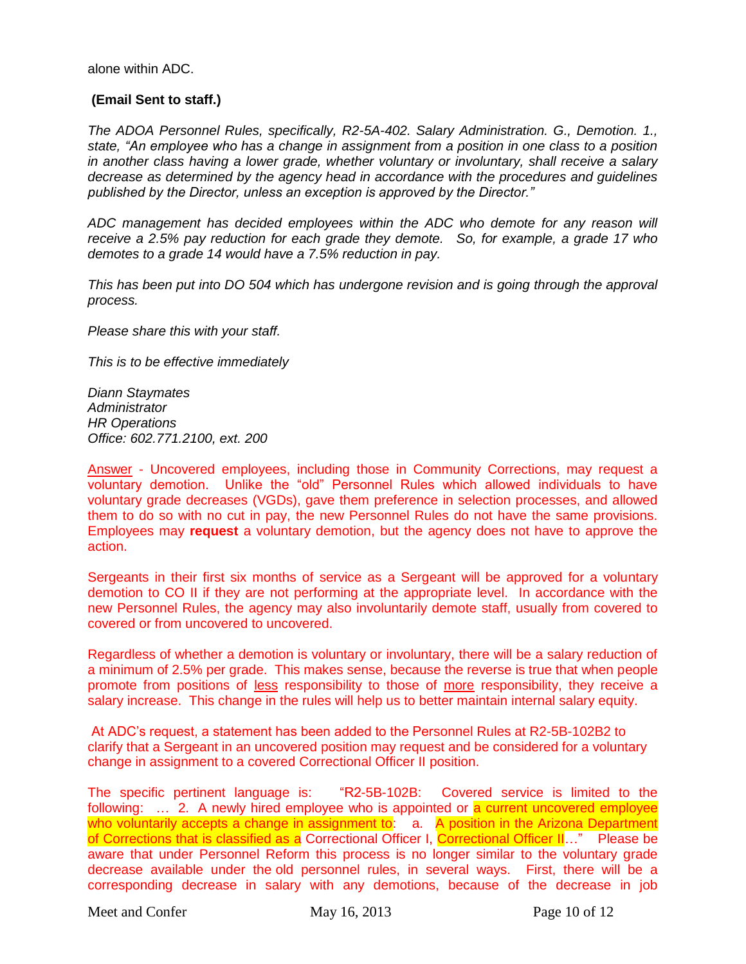alone within ADC.

### **(Email Sent to staff.)**

*The ADOA Personnel Rules, specifically, R2-5A-402. Salary Administration. G., Demotion. 1., state, "An employee who has a change in assignment from a position in one class to a position in another class having a lower grade, whether voluntary or involuntary, shall receive a salary decrease as determined by the agency head in accordance with the procedures and guidelines published by the Director, unless an exception is approved by the Director."*

ADC management has decided employees within the ADC who demote for any reason will *receive a 2.5% pay reduction for each grade they demote. So, for example, a grade 17 who demotes to a grade 14 would have a 7.5% reduction in pay.*

*This has been put into DO 504 which has undergone revision and is going through the approval process.*

*Please share this with your staff.*

*This is to be effective immediately*

*Diann Staymates Administrator HR Operations Office: 602.771.2100, ext. 200*

Answer - Uncovered employees, including those in Community Corrections, may request a voluntary demotion. Unlike the "old" Personnel Rules which allowed individuals to have voluntary grade decreases (VGDs), gave them preference in selection processes, and allowed them to do so with no cut in pay, the new Personnel Rules do not have the same provisions. Employees may **request** a voluntary demotion, but the agency does not have to approve the action.

Sergeants in their first six months of service as a Sergeant will be approved for a voluntary demotion to CO II if they are not performing at the appropriate level. In accordance with the new Personnel Rules, the agency may also involuntarily demote staff, usually from covered to covered or from uncovered to uncovered.

Regardless of whether a demotion is voluntary or involuntary, there will be a salary reduction of a minimum of 2.5% per grade. This makes sense, because the reverse is true that when people promote from positions of less responsibility to those of more responsibility, they receive a salary increase. This change in the rules will help us to better maintain internal salary equity.

At ADC"s request, a statement has been added to the Personnel Rules at R2-5B-102B2 to clarify that a Sergeant in an uncovered position may request and be considered for a voluntary change in assignment to a covered Correctional Officer II position.

The specific pertinent language is: "R2-5B-102B: Covered service is limited to the following: ... 2. A newly hired employee who is appointed or a current uncovered employee who voluntarily accepts a change in assignment to:  $\alpha$  A position in the Arizona Department of Corrections that is classified as a Correctional Officer I, Correctional Officer II…" Please be aware that under Personnel Reform this process is no longer similar to the voluntary grade decrease available under the old personnel rules, in several ways. First, there will be a corresponding decrease in salary with any demotions, because of the decrease in job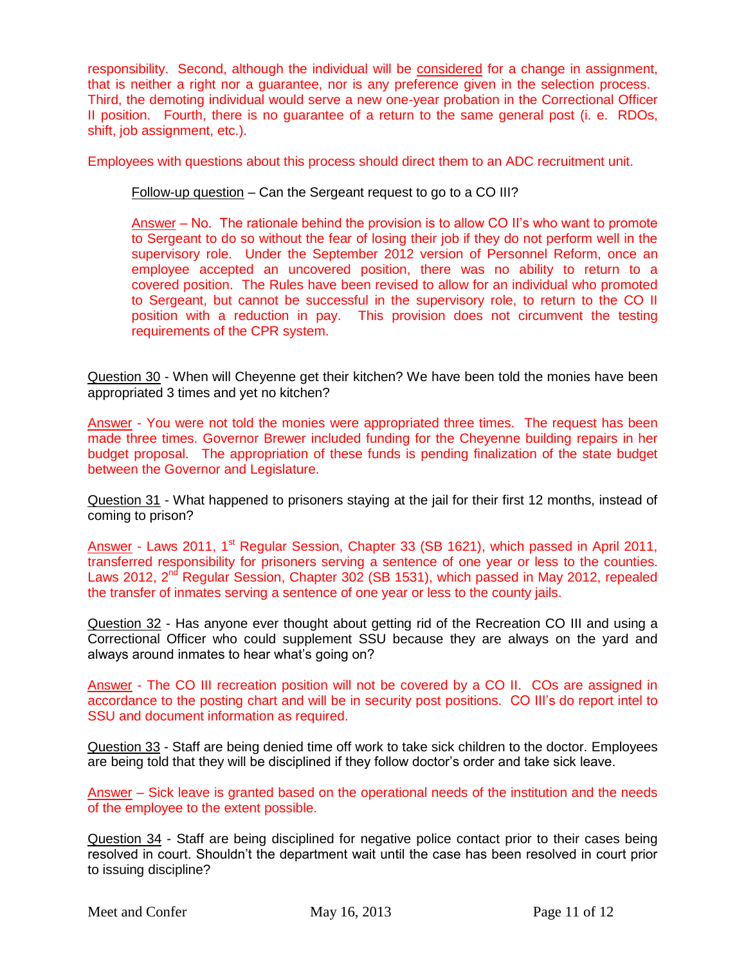responsibility. Second, although the individual will be considered for a change in assignment, that is neither a right nor a guarantee, nor is any preference given in the selection process. Third, the demoting individual would serve a new one-year probation in the Correctional Officer II position. Fourth, there is no guarantee of a return to the same general post (i. e. RDOs, shift, job assignment, etc.).

Employees with questions about this process should direct them to an ADC recruitment unit.

Follow-up question – Can the Sergeant request to go to a CO III?

Answer – No. The rationale behind the provision is to allow CO II"s who want to promote to Sergeant to do so without the fear of losing their job if they do not perform well in the supervisory role. Under the September 2012 version of Personnel Reform, once an employee accepted an uncovered position, there was no ability to return to a covered position. The Rules have been revised to allow for an individual who promoted to Sergeant, but cannot be successful in the supervisory role, to return to the CO II position with a reduction in pay. This provision does not circumvent the testing requirements of the CPR system.

Question 30 - When will Cheyenne get their kitchen? We have been told the monies have been appropriated 3 times and yet no kitchen?

Answer - You were not told the monies were appropriated three times. The request has been made three times. Governor Brewer included funding for the Cheyenne building repairs in her budget proposal. The appropriation of these funds is pending finalization of the state budget between the Governor and Legislature.

Question 31 - What happened to prisoners staying at the jail for their first 12 months, instead of coming to prison?

Answer - Laws 2011, 1<sup>st</sup> Regular Session, Chapter 33 (SB 1621), which passed in April 2011, transferred responsibility for prisoners serving a sentence of one year or less to the counties. Laws 2012, 2<sup>nd</sup> Regular Session, Chapter 302 (SB 1531), which passed in May 2012, repealed the transfer of inmates serving a sentence of one year or less to the county jails.

Question 32 - Has anyone ever thought about getting rid of the Recreation CO III and using a Correctional Officer who could supplement SSU because they are always on the yard and always around inmates to hear what's going on?

Answer - The CO III recreation position will not be covered by a CO II. COs are assigned in accordance to the posting chart and will be in security post positions. CO III"s do report intel to SSU and document information as required.

Question 33 - Staff are being denied time off work to take sick children to the doctor. Employees are being told that they will be disciplined if they follow doctor"s order and take sick leave.

Answer – Sick leave is granted based on the operational needs of the institution and the needs of the employee to the extent possible.

Question 34 - Staff are being disciplined for negative police contact prior to their cases being resolved in court. Shouldn"t the department wait until the case has been resolved in court prior to issuing discipline?